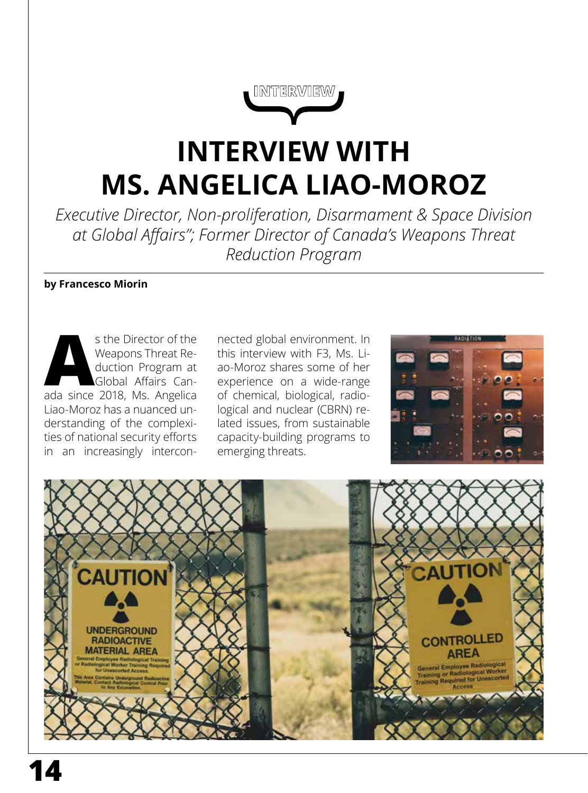**INTERVIEW**

# **INTERVIEW WITH MS. ANGELICA LIAO-MOROZ**

*Executive Director, Non-proliferation, Disarmament & Space Division at Global Affairs"; Former Director of Canada's Weapons Threat Reduction Program* 

#### **by Francesco Miorin**

s the Director of the<br>
Weapons Threat Re-<br>
duction Program at<br>
Global Affairs Can-<br>
ada since 2018, Ms. Angelica Weapons Threat Reduction Program at Global Affairs Can-Liao-Moroz has a nuanced understanding of the complexities of national security efforts in an increasingly intercon-

nected global environment. In this interview with F3, Ms. Liao-Moroz shares some of her experience on a wide-range of chemical, biological, radiological and nuclear (CBRN) related issues, from sustainable capacity-building programs to emerging threats.



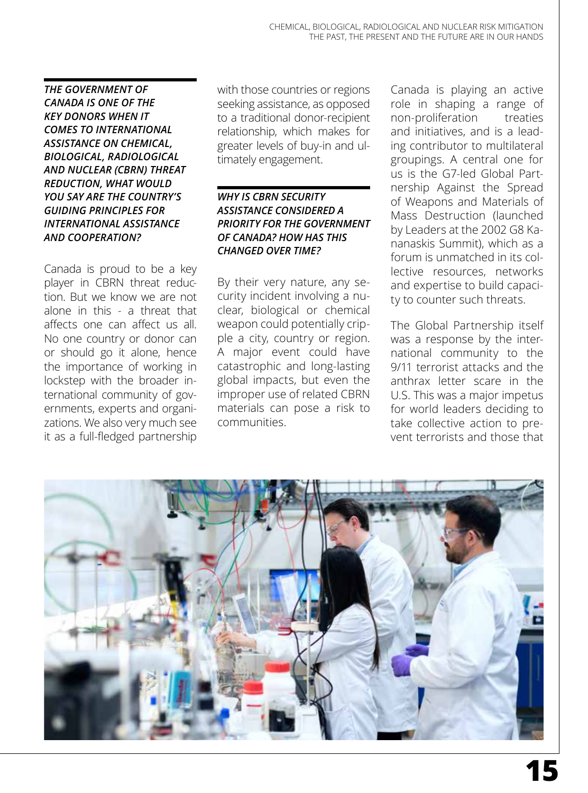*THE GOVERNMENT OF CANADA IS ONE OF THE KEY DONORS WHEN IT COMES TO INTERNATIONAL ASSISTANCE ON CHEMICAL, BIOLOGICAL, RADIOLOGICAL AND NUCLEAR (CBRN) THREAT REDUCTION, WHAT WOULD YOU SAY ARE THE COUNTRY'S GUIDING PRINCIPLES FOR INTERNATIONAL ASSISTANCE AND COOPERATION?* 

Canada is proud to be a key player in CBRN threat reduction. But we know we are not alone in this - a threat that affects one can affect us all. No one country or donor can or should go it alone, hence the importance of working in lockstep with the broader international community of governments, experts and organizations. We also very much see it as a full-fledged partnership with those countries or regions seeking assistance, as opposed to a traditional donor-recipient relationship, which makes for greater levels of buy-in and ultimately engagement.

#### *WHY IS CBRN SECURITY ASSISTANCE CONSIDERED A PRIORITY FOR THE GOVERNMENT OF CANADA? HOW HAS THIS CHANGED OVER TIME?*

By their very nature, any security incident involving a nuclear, biological or chemical weapon could potentially cripple a city, country or region. A major event could have catastrophic and long-lasting global impacts, but even the improper use of related CBRN materials can pose a risk to communities.

Canada is playing an active role in shaping a range of non-proliferation treaties and initiatives, and is a leading contributor to multilateral groupings. A central one for us is the G7-led Global Partnership Against the Spread of Weapons and Materials of Mass Destruction (launched by Leaders at the 2002 G8 Kananaskis Summit), which as a forum is unmatched in its collective resources, networks and expertise to build capacity to counter such threats.

The Global Partnership itself was a response by the international community to the 9/11 terrorist attacks and the anthrax letter scare in the U.S. This was a major impetus for world leaders deciding to take collective action to prevent terrorists and those that

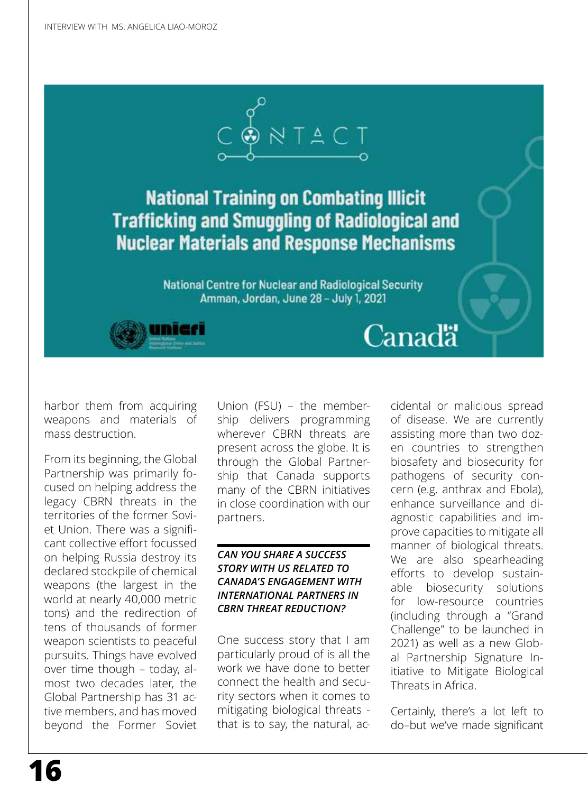

## **National Training on Combating Illicit Trafficking and Smuggling of Radiological and Nuclear Materials and Response Mechanisms**

National Centre for Nuclear and Radiological Security Amman, Jordan, June 28 - July 1, 2021





harbor them from acquiring weapons and materials of mass destruction.

From its beginning, the Global Partnership was primarily focused on helping address the legacy CBRN threats in the territories of the former Soviet Union. There was a significant collective effort focussed on helping Russia destroy its declared stockpile of chemical weapons (the largest in the world at nearly 40,000 metric tons) and the redirection of tens of thousands of former weapon scientists to peaceful pursuits. Things have evolved over time though – today, almost two decades later, the Global Partnership has 31 active members, and has moved beyond the Former Soviet

Union (FSU) – the membership delivers programming wherever CBRN threats are present across the globe. It is through the Global Partnership that Canada supports many of the CBRN initiatives in close coordination with our partners.

#### *CAN YOU SHARE A SUCCESS STORY WITH US RELATED TO CANADA'S ENGAGEMENT WITH INTERNATIONAL PARTNERS IN CBRN THREAT REDUCTION?*

One success story that I am particularly proud of is all the work we have done to better connect the health and security sectors when it comes to mitigating biological threats that is to say, the natural, accidental or malicious spread of disease. We are currently assisting more than two dozen countries to strengthen biosafety and biosecurity for pathogens of security concern (e.g. anthrax and Ebola), enhance surveillance and diagnostic capabilities and improve capacities to mitigate all manner of biological threats. We are also spearheading efforts to develop sustainable biosecurity solutions for low-resource countries (including through a "Grand Challenge" to be launched in 2021) as well as a new Global Partnership Signature Initiative to Mitigate Biological Threats in Africa.

Certainly, there's a lot left to do–but we've made significant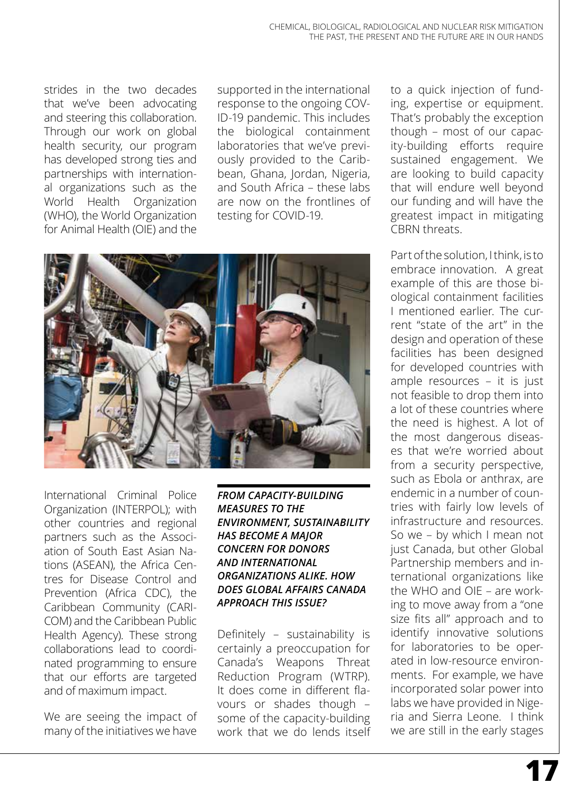strides in the two decades that we've been advocating and steering this collaboration. Through our work on global health security, our program has developed strong ties and partnerships with international organizations such as the World Health Organization (WHO), the World Organization for Animal Health (OIE) and the

supported in the international response to the ongoing COV-ID-19 pandemic. This includes the biological containment laboratories that we've previously provided to the Caribbean, Ghana, Jordan, Nigeria, and South Africa – these labs are now on the frontlines of testing for COVID-19.



International Criminal Police Organization (INTERPOL); with other countries and regional partners such as the Association of South East Asian Nations (ASEAN), the Africa Centres for Disease Control and Prevention (Africa CDC), the Caribbean Community (CARI-COM) and the Caribbean Public Health Agency). These strong collaborations lead to coordinated programming to ensure that our efforts are targeted and of maximum impact.

We are seeing the impact of many of the initiatives we have

*FROM CAPACITY-BUILDING MEASURES TO THE ENVIRONMENT, SUSTAINABILITY HAS BECOME A MAJOR CONCERN FOR DONORS AND INTERNATIONAL ORGANIZATIONS ALIKE. HOW DOES GLOBAL AFFAIRS CANADA APPROACH THIS ISSUE?*

Definitely – sustainability is certainly a preoccupation for Canada's Weapons Threat Reduction Program (WTRP). It does come in different flavours or shades though – some of the capacity-building work that we do lends itself

to a quick injection of funding, expertise or equipment. That's probably the exception though – most of our capacity-building efforts require sustained engagement. We are looking to build capacity that will endure well beyond our funding and will have the greatest impact in mitigating CBRN threats.

Part of the solution, I think, is to embrace innovation. A great example of this are those biological containment facilities I mentioned earlier. The current "state of the art" in the design and operation of these facilities has been designed for developed countries with ample resources – it is just not feasible to drop them into a lot of these countries where the need is highest. A lot of the most dangerous diseases that we're worried about from a security perspective, such as Ebola or anthrax, are endemic in a number of countries with fairly low levels of infrastructure and resources. So we – by which I mean not just Canada, but other Global Partnership members and international organizations like the WHO and OIE – are working to move away from a "one size fits all" approach and to identify innovative solutions for laboratories to be operated in low-resource environments. For example, we have incorporated solar power into labs we have provided in Nigeria and Sierra Leone. I think we are still in the early stages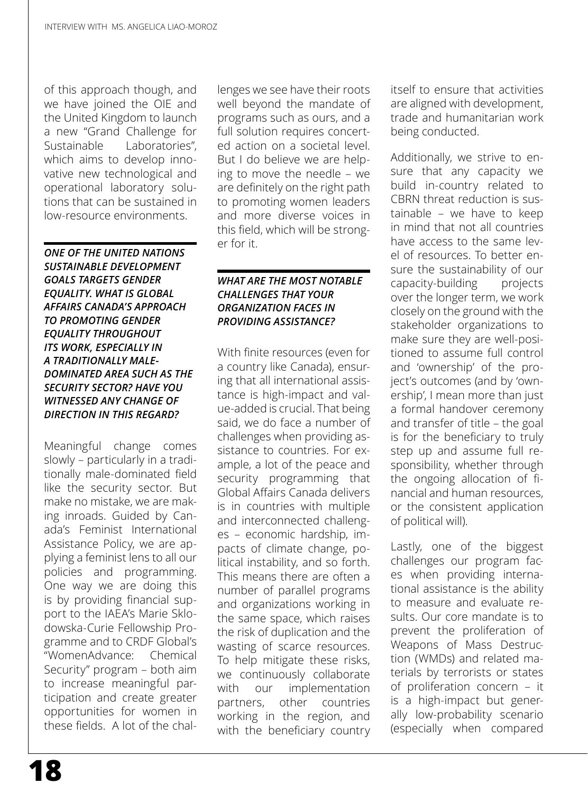of this approach though, and we have joined the OIE and the United Kingdom to launch a new "Grand Challenge for Sustainable Laboratories", which aims to develop innovative new technological and operational laboratory solutions that can be sustained in low-resource environments.

*ONE OF THE UNITED NATIONS SUSTAINABLE DEVELOPMENT GOALS TARGETS GENDER EQUALITY. WHAT IS GLOBAL AFFAIRS CANADA'S APPROACH TO PROMOTING GENDER EQUALITY THROUGHOUT ITS WORK, ESPECIALLY IN A TRADITIONALLY MALE-DOMINATED AREA SUCH AS THE SECURITY SECTOR? HAVE YOU WITNESSED ANY CHANGE OF DIRECTION IN THIS REGARD?* 

Meaningful change comes slowly – particularly in a traditionally male-dominated field like the security sector. But make no mistake, we are making inroads. Guided by Canada's Feminist International Assistance Policy, we are applying a feminist lens to all our policies and programming. One way we are doing this is by providing financial support to the IAEA's Marie Sklodowska-Curie Fellowship Programme and to CRDF Global's "WomenAdvance: Chemical Security" program – both aim to increase meaningful participation and create greater opportunities for women in these fields. A lot of the chal-

lenges we see have their roots well beyond the mandate of programs such as ours, and a full solution requires concerted action on a societal level. But I do believe we are helping to move the needle – we are definitely on the right path to promoting women leaders and more diverse voices in this field, which will be stronger for it.

#### *WHAT ARE THE MOST NOTABLE CHALLENGES THAT YOUR ORGANIZATION FACES IN PROVIDING ASSISTANCE?*

With finite resources (even for a country like Canada), ensuring that all international assistance is high-impact and value-added is crucial. That being said, we do face a number of challenges when providing assistance to countries. For example, a lot of the peace and security programming that Global Affairs Canada delivers is in countries with multiple and interconnected challenges – economic hardship, impacts of climate change, political instability, and so forth. This means there are often a number of parallel programs and organizations working in the same space, which raises the risk of duplication and the wasting of scarce resources. To help mitigate these risks, we continuously collaborate with our implementation partners, other countries working in the region, and with the beneficiary country itself to ensure that activities are aligned with development, trade and humanitarian work being conducted.

Additionally, we strive to ensure that any capacity we build in-country related to CBRN threat reduction is sustainable – we have to keep in mind that not all countries have access to the same level of resources. To better ensure the sustainability of our capacity-building projects over the longer term, we work closely on the ground with the stakeholder organizations to make sure they are well-positioned to assume full control and 'ownership' of the project's outcomes (and by 'ownership', I mean more than just a formal handover ceremony and transfer of title – the goal is for the beneficiary to truly step up and assume full responsibility, whether through the ongoing allocation of financial and human resources, or the consistent application of political will).

Lastly, one of the biggest challenges our program faces when providing international assistance is the ability to measure and evaluate results. Our core mandate is to prevent the proliferation of Weapons of Mass Destruction (WMDs) and related materials by terrorists or states of proliferation concern – it is a high-impact but generally low-probability scenario (especially when compared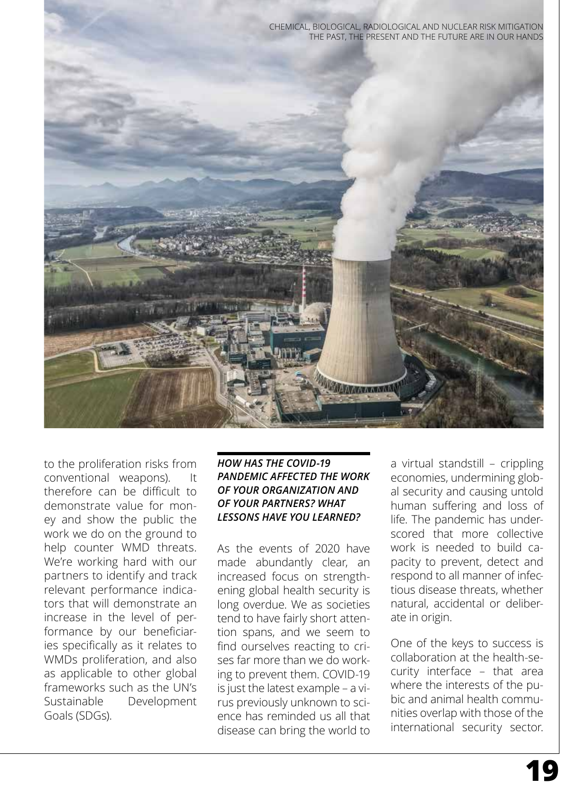



to the proliferation risks from conventional weapons). It therefore can be difficult to demonstrate value for money and show the public the work we do on the ground to help counter WMD threats. We're working hard with our partners to identify and track relevant performance indicators that will demonstrate an increase in the level of performance by our beneficiaries specifically as it relates to WMDs proliferation, and also as applicable to other global frameworks such as the UN's Sustainable Development Goals (SDGs).

### *HOW HAS THE COVID-19 PANDEMIC AFFECTED THE WORK OF YOUR ORGANIZATION AND OF YOUR PARTNERS? WHAT LESSONS HAVE YOU LEARNED?*

As the events of 2020 have made abundantly clear, an increased focus on strengthening global health security is long overdue. We as societies tend to have fairly short attention spans, and we seem to find ourselves reacting to crises far more than we do working to prevent them. COVID-19 is just the latest example – a virus previously unknown to science has reminded us all that disease can bring the world to a virtual standstill – crippling economies, undermining global security and causing untold human suffering and loss of life. The pandemic has underscored that more collective work is needed to build capacity to prevent, detect and respond to all manner of infectious disease threats, whether natural, accidental or deliberate in origin.

One of the keys to success is collaboration at the health-security interface – that area where the interests of the pubic and animal health communities overlap with those of the international security sector.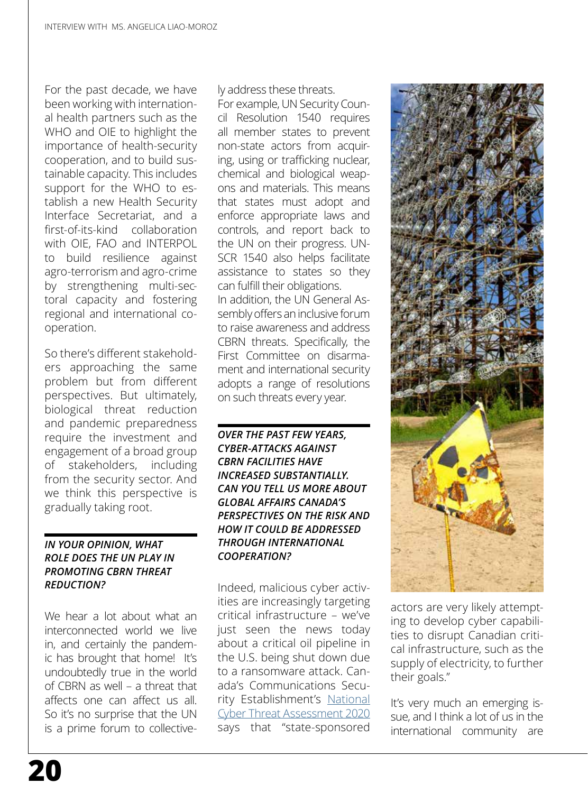For the past decade, we have been working with international health partners such as the WHO and OIE to highlight the importance of health-security cooperation, and to build sustainable capacity. This includes support for the WHO to establish a new Health Security Interface Secretariat, and a first-of-its-kind collaboration with OIE, FAO and INTERPOL to build resilience against agro-terrorism and agro-crime by strengthening multi-sectoral capacity and fostering regional and international cooperation.

So there's different stakeholders approaching the same problem but from different perspectives. But ultimately, biological threat reduction and pandemic preparedness require the investment and engagement of a broad group of stakeholders, including from the security sector. And we think this perspective is gradually taking root.

#### *IN YOUR OPINION, WHAT ROLE DOES THE UN PLAY IN PROMOTING CBRN THREAT REDUCTION?*

We hear a lot about what an interconnected world we live in, and certainly the pandemic has brought that home! It's undoubtedly true in the world of CBRN as well – a threat that affects one can affect us all. So it's no surprise that the UN is a prime forum to collectively address these threats.

For example, UN Security Council Resolution 1540 requires all member states to prevent non-state actors from acquiring, using or trafficking nuclear, chemical and biological weapons and materials. This means that states must adopt and enforce appropriate laws and controls, and report back to the UN on their progress. UN-SCR 1540 also helps facilitate assistance to states so they can fulfill their obligations. In addition, the UN General Assembly offers an inclusive forum to raise awareness and address CBRN threats. Specifically, the First Committee on disarmament and international security adopts a range of resolutions on such threats every year.

*OVER THE PAST FEW YEARS, CYBER-ATTACKS AGAINST CBRN FACILITIES HAVE INCREASED SUBSTANTIALLY. CAN YOU TELL US MORE ABOUT GLOBAL AFFAIRS CANADA'S PERSPECTIVES ON THE RISK AND HOW IT COULD BE ADDRESSED THROUGH INTERNATIONAL COOPERATION?*

Indeed, malicious cyber activities are increasingly targeting critical infrastructure – we've just seen the news today about a critical oil pipeline in the U.S. being shut down due to a ransomware attack. Canada's Communications Security Establishment's [National](https://cyber.gc.ca/en/guidance/executive-summary-2) [Cyber Threat Assessment 2020](https://cyber.gc.ca/en/guidance/executive-summary-2) says that "state-sponsored



actors are very likely attempting to develop cyber capabilities to disrupt Canadian critical infrastructure, such as the supply of electricity, to further their goals."

It's very much an emerging issue, and I think a lot of us in the international community are